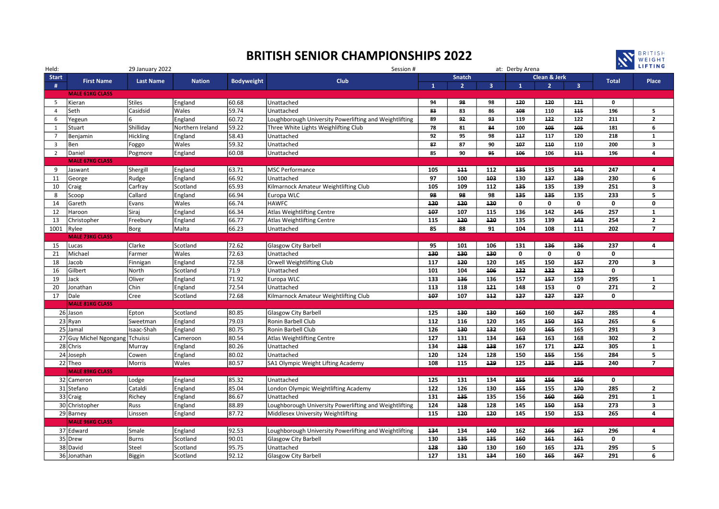## BRITISH SENIOR CHAMPIONSHIPS 2022



| Held:          |                                 | 29 January 2022  |                  |                   | Session #                                              |              |                |                | at: Derby Arena | <b>A LIFTING</b>        |                |              |                         |
|----------------|---------------------------------|------------------|------------------|-------------------|--------------------------------------------------------|--------------|----------------|----------------|-----------------|-------------------------|----------------|--------------|-------------------------|
| <b>Start</b>   |                                 |                  |                  |                   | <b>Club</b>                                            |              | Snatch         |                |                 | <b>Clean &amp; Jerk</b> |                | <b>Total</b> | Place                   |
| #              | <b>First Name</b>               | <b>Last Name</b> | <b>Nation</b>    | <b>Bodyweight</b> |                                                        | $\mathbf{1}$ | $\overline{2}$ | $\overline{3}$ | $\mathbf{1}$    | 2 <sup>1</sup>          | $\overline{3}$ |              |                         |
|                | <b>MALE 61KG CLASS</b>          |                  |                  |                   |                                                        |              |                |                |                 |                         |                |              |                         |
| 5              | Kieran                          | Stiles           | England          | 60.68             | Unattached                                             | 94           | 98             | 98             | 120             | 120                     | 121            | $\mathbf 0$  |                         |
| $\overline{4}$ | Seth                            | Casidsid         | Wales            | 59.74             | Unattached                                             | 83           | 83             | 86             | 108             | 110                     | 115            | 196          | 5                       |
| 6              | Yegeun                          |                  | England          | 60.72             | Loughborough University Powerlifting and Weightlifting | 89           | 92             | 93             | 119             | 122                     | 122            | 211          | $\mathbf{2}$            |
| 1              | Stuart                          | Shilliday        | Northern Ireland | 59.22             | Three White Lights Weighlifting Club                   | 78           | 81             | 84             | 100             | 105                     | 105            | 181          | 6                       |
| $\overline{7}$ | Benjamin                        | Hickling         | England          | 58.43             | Unattached                                             | 92           | 95             | 98             | 117             | 117                     | 120            | 218          | 1                       |
| $\overline{3}$ | Ben                             | Foggo            | Wales            | 59.32             | Unattached                                             | 87           | 87             | 90             | 107             | 110                     | 110            | 200          | $\overline{\mathbf{3}}$ |
| 2              | Daniel                          | Pogmore          | England          | 60.08             | Unattached                                             | 85           | 90             | 95             | 106             | 106                     | 111            | 196          | 4                       |
|                | <b>MALE 67KG CLASS</b>          |                  |                  |                   |                                                        |              |                |                |                 |                         |                |              |                         |
| 9              | Jaswant                         | Shergill         | England          | 63.71             | <b>MSC Performance</b>                                 | 105          | 111            | 112            | 135             | 135                     | 141            | 247          | 4                       |
| 11             | George                          | Rudge            | England          | 66.92             | Unattached                                             | 97           | 100            | 103            | 130             | 137                     | 139            | 230          | 6                       |
| 10             | Craig                           | Carfray          | Scotland         | 65.93             | Kilmarnock Amateur Weightlifting Club                  | 105          | 109            | 112            | 135             | 135                     | 139            | 251          | 3                       |
| 8              | Scoop                           | Callard          | England          | 66.94             | Europa WLC                                             | 98           | 98             | 98             | 135             | 135                     | 135            | 233          | 5                       |
| 14             | Gareth                          | Evans            | Wales            | 66.74             | <b>HAWFC</b>                                           | 120          | 120            | 120            | 0               | 0                       | 0              | 0            | $\mathbf 0$             |
| 12             | Haroon                          | Siraj            | England          | 66.34             | Atlas Weightlifting Centre                             | 107          | 107            | 115            | 136             | 142                     | 145            | 257          | $\mathbf{1}$            |
| 13             | Christopher                     | Freebury         | England          | 66.77             | Atlas Weightlifting Centre                             | 115          | 120            | 120            | 135             | 139                     | 143            | 254          | $\mathbf{2}$            |
| 1001           | Rylee                           | Borg             | Malta            | 66.23             | Unattached                                             | 85           | 88             | 91             | 104             | 108                     | 111            | 202          | $\overline{7}$          |
|                | <b>MALE 73KG CLASS</b>          |                  |                  |                   |                                                        |              |                |                |                 |                         |                |              |                         |
| 15             | Lucas                           | Clarke           | Scotland         | 72.62             | <b>Glasgow City Barbell</b>                            | 95           | 101            | 106            | 131             | 136                     | 136            | 237          | 4                       |
| 21             | Michael                         | Farmer           | Wales            | 72.63             | Unattached                                             | 130          | 130            | 130            | $\mathbf 0$     | 0                       | 0              | 0            |                         |
| 18             | Jacob                           | Finnigan         | England          | 72.58             | Orwell Weightlifting Club                              | 117          | 120            | 120            | 145             | 150                     | 157            | 270          | 3                       |
| 16             | Gilbert                         | North            | Scotland         | 71.9              | Unattached                                             | 101          | 104            | 106            | 122             | 122                     | 122            | $\mathbf 0$  |                         |
| 19             | Jack                            | Oliver           | England          | 71.92             | Europa WLC                                             | 133          | 136            | 136            | 157             | 157                     | 159            | 295          | 1                       |
| 20             | Jonathan                        | Chin             | England          | 72.54             | Unattached                                             | 113          | 118            | 121            | 148             | 153                     | 0              | 271          | $\overline{2}$          |
| 17             | Dale                            | Cree             | Scotland         | 72.68             | Kilmarnock Amateur Weightlifting Club                  | 107          | 107            | 112            | 127             | 127                     | 127            | $\mathbf 0$  |                         |
|                | <b>MALE 81KG CLASS</b>          |                  |                  |                   |                                                        |              |                |                |                 |                         |                |              |                         |
|                | 26 Jason                        | Epton            | Scotland         | 80.85             | Glasgow City Barbell                                   | 125          | 130            | 130            | 160             | 160                     | 167            | 285          | 4                       |
|                | $23$ Ryan                       | Sweetman         | England          | 79.03             | Ronin Barbell Club                                     | 112          | 116            | 120            | 145             | 150                     | 152            | 265          | 6                       |
|                | 25 Jamal                        | Isaac-Shah       | England          | 80.75             | Ronin Barbell Club                                     | 126          | 130            | 132            | 160             | 165                     | 165            | 291          | $\overline{\mathbf{3}}$ |
|                | 27 Guy Michel Ngongang Tchuissi |                  | Cameroon         | 80.54             | Atlas Weightlifting Centre                             | 127          | 131            | 134            | 163             | 163                     | 168            | 302          | $\overline{2}$          |
|                | 28 Chris                        | Murray           | England          | 80.26             | Unattached                                             | 134          | 138            | 138            | 167             | 171                     | 177            | 305          | $\mathbf{1}$            |
|                | 24 Joseph                       | Cowen            | England          | 80.02             | Unattached                                             | 120          | 124            | 128            | 150             | 155                     | 156            | 284          | 5                       |
|                | 22 Theo                         | Morris           | Wales            | 80.57             | SA1 Olympic Weight Lifting Academy                     | 108          | 115            | 129            | 125             | 135                     | 135            | 240          | $\overline{7}$          |
|                | <b>MALE 89KG CLASS</b>          |                  |                  |                   |                                                        |              |                |                |                 |                         |                |              |                         |
|                | 32 Cameron                      | Lodge            | England          | 85.32             | Unattached                                             | 125          | 131            | 134            | 155             | 156                     | 156            | 0            |                         |
|                | 31 Stefano                      | Cataldi          | England          | 85.04             | London Olympic Weightlifting Academy                   | 122          | 126            | 130            | 155             | 155                     | 170            | 285          | $\overline{2}$          |
|                | 33 Craig                        | Richey           | England          | 86.67             | Unattached                                             | 131          | 135            | 135            | 156             | 160                     | 160            | 291          | $\mathbf{1}$            |
|                | 30 Christopher                  | Russ             | England          | 88.89             | Loughborough University Powerlifting and Weightlifting | 124          | 128            | 128            | 145             | 150                     | 153            | 273          | 3                       |
|                | 29 Barney                       | Linssen          | England          | 87.72             | Middlesex University Weightlifting                     | 115          | 120            | 120            | 145             | 150                     | 153            | 265          | 4                       |
|                | <b>MALE 96KG CLASS</b>          |                  |                  |                   |                                                        |              |                |                |                 |                         |                |              |                         |
|                | 37 Edward                       | Smale            | England          | 92.53             | Loughborough University Powerlifting and Weightlifting | 134          | 134            | 140            | 162             | 166                     | 167            | 296          | 4                       |
|                | 35 Drew                         | <b>Burns</b>     | Scotland         | 90.01             | Glasgow City Barbell                                   | 130          | 135            | 135            | 160             | 161                     | 161            | 0            |                         |
|                | 38 David                        | Steel            | Scotland         | 95.75             | Unattached                                             | 128          | 130            | 130            | 160             | 165                     | 171            | 295          | 5                       |
|                | 36 Jonathan                     | <b>Biggin</b>    | Scotland         | 92.12             | <b>Glasgow City Barbell</b>                            | 127          | 131            | 134            | 160             | 165                     | 167            | 291          | 6                       |